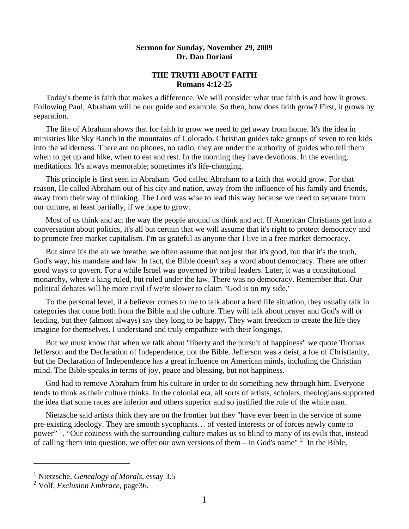## **Sermon for Sunday, November 29, 2009 Dr. Dan Doriani**

## **THE TRUTH ABOUT FAITH Romans 4:12-25**

 Today's theme is faith that makes a difference. We will consider what true faith is and how it grows. Following Paul, Abraham will be our guide and example. So then, how does faith grow? First, it grows by separation.

 The life of Abraham shows that for faith to grow we need to get away from home. It's the idea in ministries like Sky Ranch in the mountains of Colorado. Christian guides take groups of seven to ten kids into the wilderness. There are no phones, no radio, they are under the authority of guides who tell them when to get up and hike, when to eat and rest. In the morning they have devotions. In the evening, meditations. It's always memorable; sometimes it's life-changing.

 This principle is first seen in Abraham. God called Abraham to a faith that would grow. For that reason, He called Abraham out of his city and nation, away from the influence of his family and friends, away from their way of thinking. The Lord was wise to lead this way because we need to separate from our culture, at least partially, if we hope to grow.

 Most of us think and act the way the people around us think and act. If American Christians get into a conversation about politics, it's all but certain that we will assume that it's right to protect democracy and to promote free market capitalism. I'm as grateful as anyone that I live in a free market democracy.

 But since it's the air we breathe, we often assume that not just that it's good, but that it's the truth, God's way, his mandate and law. In fact, the Bible doesn't say a word about democracy. There are other good ways to govern. For a while Israel was governed by tribal leaders. Later, it was a constitutional monarchy, where a king ruled, but ruled under the law. There was no democracy. Remember that. Our political debates will be more civil if we're slower to claim "God is on my side."

 To the personal level, if a believer comes to me to talk about a hard life situation, they usually talk in categories that come both from the Bible and the culture. They will talk about prayer and God's will or leading, but they (almost always) say they long to be happy. They want freedom to create the life they imagine for themselves. I understand and truly empathize with their longings.

 But we must know that when we talk about "liberty and the pursuit of happiness" we quote Thomas Jefferson and the Declaration of Independence, not the Bible. Jefferson was a deist, a foe of Christianity, but the Declaration of Independence has a great influence on American minds, including the Christian mind. The Bible speaks in terms of joy, peace and blessing, but not happiness.

 God had to remove Abraham from his culture in order to do something new through him. Everyone tends to think as their culture thinks. In the colonial era, all sorts of artists, scholars, theologians supported the idea that some races are inferior and others superior and so justified the rule of the white man.

 Nietzsche said artists think they are on the frontier but they "have ever been in the service of some pre-existing ideology. They are smooth sycophants… of vested interests or of forces newly come to power" <sup>[1](#page-0-0)</sup>. "Our coziness with the surrounding culture makes us so blind to many of its evils that, instead of calling them into question, we offer our own versions of them  $-$  in God's name"  $2$  In the Bible,

 $\overline{a}$ 

<span id="page-0-0"></span><sup>1</sup> Nietzsche, *Genealogy of Morals*, essay 3.5

<span id="page-0-1"></span><sup>2</sup> Volf, *Exclusion Embrace*, page36.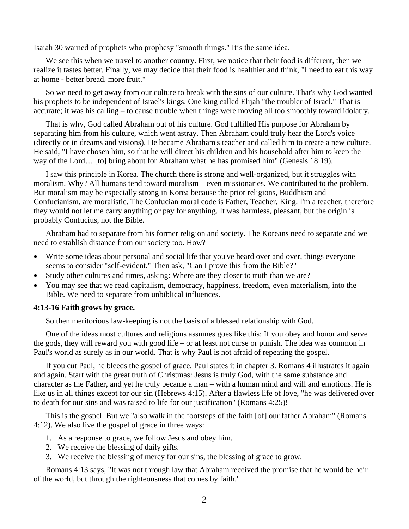Isaiah 30 warned of prophets who prophesy "smooth things." It's the same idea.

 We see this when we travel to another country. First, we notice that their food is different, then we realize it tastes better. Finally, we may decide that their food is healthier and think, "I need to eat this way at home - better bread, more fruit."

 So we need to get away from our culture to break with the sins of our culture. That's why God wanted his prophets to be independent of Israel's kings. One king called Elijah "the troubler of Israel." That is accurate; it was his calling – to cause trouble when things were moving all too smoothly toward idolatry.

 That is why, God called Abraham out of his culture. God fulfilled His purpose for Abraham by separating him from his culture, which went astray. Then Abraham could truly hear the Lord's voice (directly or in dreams and visions). He became Abraham's teacher and called him to create a new culture. He said, "I have chosen him, so that he will direct his children and his household after him to keep the way of the Lord… [to] bring about for Abraham what he has promised him" (Genesis 18:19).

 I saw this principle in Korea. The church there is strong and well-organized, but it struggles with moralism. Why? All humans tend toward moralism – even missionaries. We contributed to the problem. But moralism may be especially strong in Korea because the prior religions, Buddhism and Confucianism, are moralistic. The Confucian moral code is Father, Teacher, King. I'm a teacher, therefore they would not let me carry anything or pay for anything. It was harmless, pleasant, but the origin is probably Confucius, not the Bible.

 Abraham had to separate from his former religion and society. The Koreans need to separate and we need to establish distance from our society too. How?

- Write some ideas about personal and social life that you've heard over and over, things everyone seems to consider "self-evident." Then ask, "Can I prove this from the Bible?"
- Study other cultures and times, asking: Where are they closer to truth than we are?
- You may see that we read capitalism, democracy, happiness, freedom, even materialism, into the Bible. We need to separate from unbiblical influences.

## **4:13-16 Faith grows by grace.**

So then meritorious law-keeping is not the basis of a blessed relationship with God.

 One of the ideas most cultures and religions assumes goes like this: If you obey and honor and serve the gods, they will reward you with good life – or at least not curse or punish. The idea was common in Paul's world as surely as in our world. That is why Paul is not afraid of repeating the gospel.

 If you cut Paul, he bleeds the gospel of grace. Paul states it in chapter 3. Romans 4 illustrates it again and again. Start with the great truth of Christmas: Jesus is truly God, with the same substance and character as the Father, and yet he truly became a man – with a human mind and will and emotions. He is like us in all things except for our sin (Hebrews 4:15). After a flawless life of love, "he was delivered over to death for our sins and was raised to life for our justification" (Romans 4:25)!

 This is the gospel. But we "also walk in the footsteps of the faith [of] our father Abraham" (Romans 4:12). We also live the gospel of grace in three ways:

- 1. As a response to grace, we follow Jesus and obey him.
- 2. We receive the blessing of daily gifts.
- 3. We receive the blessing of mercy for our sins, the blessing of grace to grow.

 Romans 4:13 says, "It was not through law that Abraham received the promise that he would be heir of the world, but through the righteousness that comes by faith."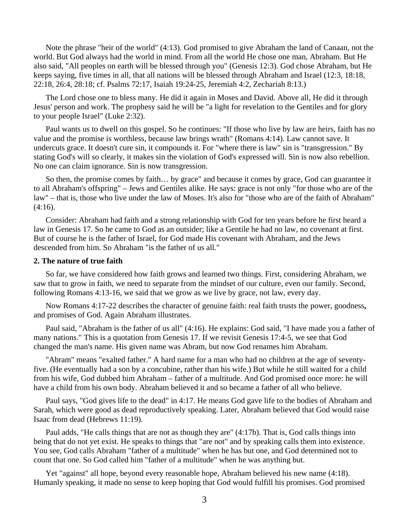Note the phrase "heir of the world" (4:13). God promised to give Abraham the land of Canaan, not the world. But God always had the world in mind. From all the world He chose one man, Abraham. But He also said, "All peoples on earth will be blessed through you" (Genesis 12:3). God chose Abraham, but He keeps saying, five times in all, that all nations will be blessed through Abraham and Israel (12:3, 18:18, 22:18, 26:4, 28:18; cf. Psalms 72:17, Isaiah 19:24-25, Jeremiah 4:2, Zechariah 8:13.)

 The Lord chose one to bless many. He did it again in Moses and David. Above all, He did it through Jesus' person and work. The prophesy said he will be "a light for revelation to the Gentiles and for glory to your people Israel" (Luke 2:32).

 Paul wants us to dwell on this gospel. So he continues: "If those who live by law are heirs, faith has no value and the promise is worthless, because law brings wrath" (Romans 4:14). Law cannot save. It undercuts grace. It doesn't cure sin, it compounds it. For "where there is law" sin is "transgression." By stating God's will so clearly, it makes sin the violation of God's expressed will. Sin is now also rebellion. No one can claim ignorance. Sin is now transgression.

 So then, the promise comes by faith… by grace" and because it comes by grace, God can guarantee it to all Abraham's offspring" – Jews and Gentiles alike. He says: grace is not only "for those who are of the law" – that is, those who live under the law of Moses. It's also for "those who are of the faith of Abraham"  $(4:16)$ .

 Consider: Abraham had faith and a strong relationship with God for ten years before he first heard a law in Genesis 17. So he came to God as an outsider; like a Gentile he had no law, no covenant at first. But of course he is the father of Israel, for God made His covenant with Abraham, and the Jews descended from him. So Abraham "is the father of us all."

## **2. The nature of true faith**

So far, we have considered how faith grows and learned two things. First, considering Abraham, we saw that to grow in faith, we need to separate from the mindset of our culture, even our family. Second, following Romans 4:13-16, we said that we grow as we live by grace, not law, every day.

 Now Romans 4:17-22 describes the character of genuine faith: real faith trusts the power, goodness**,**  and promises of God. Again Abraham illustrates.

 Paul said, "Abraham is the father of us all" (4:16). He explains: God said, "I have made you a father of many nations." This is a quotation from Genesis 17. If we revisit Genesis 17:4-5, we see that God changed the man's name. His given name was Abram, but now God renames him Abraham.

 "Abram" means "exalted father." A hard name for a man who had no children at the age of seventyfive. (He eventually had a son by a concubine, rather than his wife.) But while he still waited for a child from his wife, God dubbed him Abraham – father of a multitude. And God promised once more: he will have a child from his own body. Abraham believed it and so became a father of all who believe.

 Paul says, "God gives life to the dead" in 4:17. He means God gave life to the bodies of Abraham and Sarah, which were good as dead reproductively speaking. Later, Abraham believed that God would raise Isaac from dead (Hebrews 11:19).

 Paul adds, "He calls things that are not as though they are" (4:17b). That is, God calls things into being that do not yet exist. He speaks to things that "are not" and by speaking calls them into existence. You see, God calls Abraham "father of a multitude" when he has but one, and God determined not to count that one. So God called him "father of a multitude" when he was anything but.

 Yet "against" all hope, beyond every reasonable hope, Abraham believed his new name (4:18). Humanly speaking, it made no sense to keep hoping that God would fulfill his promises. God promised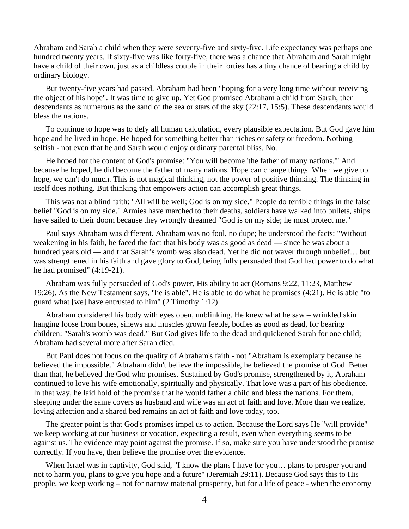Abraham and Sarah a child when they were seventy-five and sixty-five. Life expectancy was perhaps one hundred twenty years. If sixty-five was like forty-five, there was a chance that Abraham and Sarah might have a child of their own, just as a childless couple in their forties has a tiny chance of bearing a child by ordinary biology.

 But twenty-five years had passed. Abraham had been "hoping for a very long time without receiving the object of his hope". It was time to give up. Yet God promised Abraham a child from Sarah, then descendants as numerous as the sand of the sea or stars of the sky (22:17, 15:5). These descendants would bless the nations.

 To continue to hope was to defy all human calculation, every plausible expectation. But God gave him hope and he lived in hope. He hoped for something better than riches or safety or freedom. Nothing selfish - not even that he and Sarah would enjoy ordinary parental bliss. No.

 He hoped for the content of God's promise: "You will become 'the father of many nations.'" And because he hoped, he did become the father of many nations. Hope can change things. When we give up hope, we can't do much. This is not magical thinking, not the power of positive thinking. The thinking in itself does nothing. But thinking that empowers action can accomplish great things**.** 

This was not a blind faith: "All will be well; God is on my side." People do terrible things in the false belief "God is on my side." Armies have marched to their deaths, soldiers have walked into bullets, ships have sailed to their doom because they wrongly dreamed "God is on my side; he must protect me."

 Paul says Abraham was different. Abraham was no fool, no dupe; he understood the facts: "Without weakening in his faith, he faced the fact that his body was as good as dead — since he was about a hundred years old — and that Sarah's womb was also dead. Yet he did not waver through unbelief... but was strengthened in his faith and gave glory to God, being fully persuaded that God had power to do what he had promised" (4:19-21).

 Abraham was fully persuaded of God's power, His ability to act (Romans 9:22, 11:23, Matthew 19:26). As the New Testament says, "he is able". He is able to do what he promises (4:21). He is able "to guard what [we] have entrusted to him" (2 Timothy 1:12).

 Abraham considered his body with eyes open, unblinking. He knew what he saw – wrinkled skin hanging loose from bones, sinews and muscles grown feeble, bodies as good as dead, for bearing children: "Sarah's womb was dead." But God gives life to the dead and quickened Sarah for one child; Abraham had several more after Sarah died.

 But Paul does not focus on the quality of Abraham's faith - not "Abraham is exemplary because he believed the impossible." Abraham didn't believe the impossible, he believed the promise of God. Better than that, he believed the God who promises. Sustained by God's promise, strengthened by it, Abraham continued to love his wife emotionally, spiritually and physically. That love was a part of his obedience. In that way, he laid hold of the promise that he would father a child and bless the nations. For them, sleeping under the same covers as husband and wife was an act of faith and love. More than we realize, loving affection and a shared bed remains an act of faith and love today, too.

 The greater point is that God's promises impel us to action. Because the Lord says He "will provide" we keep working at our business or vocation, expecting a result, even when everything seems to be against us. The evidence may point against the promise. If so, make sure you have understood the promise correctly. If you have, then believe the promise over the evidence.

When Israel was in captivity, God said, "I know the plans I have for you... plans to prosper you and not to harm you, plans to give you hope and a future" (Jeremiah 29:11). Because God says this to His people, we keep working – not for narrow material prosperity, but for a life of peace - when the economy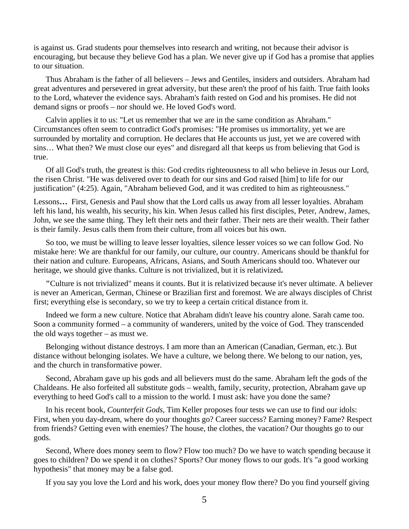is against us. Grad students pour themselves into research and writing, not because their advisor is encouraging, but because they believe God has a plan. We never give up if God has a promise that applies to our situation.

 Thus Abraham is the father of all believers – Jews and Gentiles, insiders and outsiders. Abraham had great adventures and persevered in great adversity, but these aren't the proof of his faith. True faith looks to the Lord, whatever the evidence says. Abraham's faith rested on God and his promises. He did not demand signs or proofs – nor should we. He loved God's word.

 Calvin applies it to us: "Let us remember that we are in the same condition as Abraham." Circumstances often seem to contradict God's promises: "He promises us immortality, yet we are surrounded by mortality and corruption. He declares that He accounts us just, yet we are covered with sins… What then? We must close our eyes" and disregard all that keeps us from believing that God is true.

 Of all God's truth, the greatest is this: God credits righteousness to all who believe in Jesus our Lord, the risen Christ. "He was delivered over to death for our sins and God raised [him] to life for our justification" (4:25). Again, "Abraham believed God, and it was credited to him as righteousness."

Lessons**…** First, Genesis and Paul show that the Lord calls us away from all lesser loyalties. Abraham left his land, his wealth, his security, his kin. When Jesus called his first disciples, Peter, Andrew, James, John, we see the same thing. They left their nets and their father. Their nets are their wealth. Their father is their family. Jesus calls them from their culture, from all voices but his own.

 So too, we must be willing to leave lesser loyalties, silence lesser voices so we can follow God. No mistake here: We are thankful for our family, our culture, our country. Americans should be thankful for their nation and culture. Europeans, Africans, Asians, and South Americans should too. Whatever our heritage, we should give thanks. Culture is not trivialized, but it is relativized**.** 

**"**Culture is not trivialized" means it counts. But it is relativized because it's never ultimate. A believer is never an American, German, Chinese or Brazilian first and foremost. We are always disciples of Christ first; everything else is secondary, so we try to keep a certain critical distance from it.

 Indeed we form a new culture. Notice that Abraham didn't leave his country alone. Sarah came too. Soon a community formed – a community of wanderers, united by the voice of God. They transcended the old ways together – as must we.

 Belonging without distance destroys. I am more than an American (Canadian, German, etc.). But distance without belonging isolates. We have a culture, we belong there. We belong to our nation, yes, and the church in transformative power.

 Second, Abraham gave up his gods and all believers must do the same. Abraham left the gods of the Chaldeans. He also forfeited all substitute gods – wealth, family, security, protection, Abraham gave up everything to heed God's call to a mission to the world. I must ask: have you done the same?

 In his recent book, *Counterfeit Gods*, Tim Keller proposes four tests we can use to find our idols: First, when you day-dream, where do your thoughts go? Career success? Earning money? Fame? Respect from friends? Getting even with enemies? The house, the clothes, the vacation? Our thoughts go to our gods.

 Second, Where does money seem to flow? Flow too much? Do we have to watch spending because it goes to children? Do we spend it on clothes? Sports? Our money flows to our gods. It's "a good working hypothesis" that money may be a false god.

If you say you love the Lord and his work, does your money flow there? Do you find yourself giving